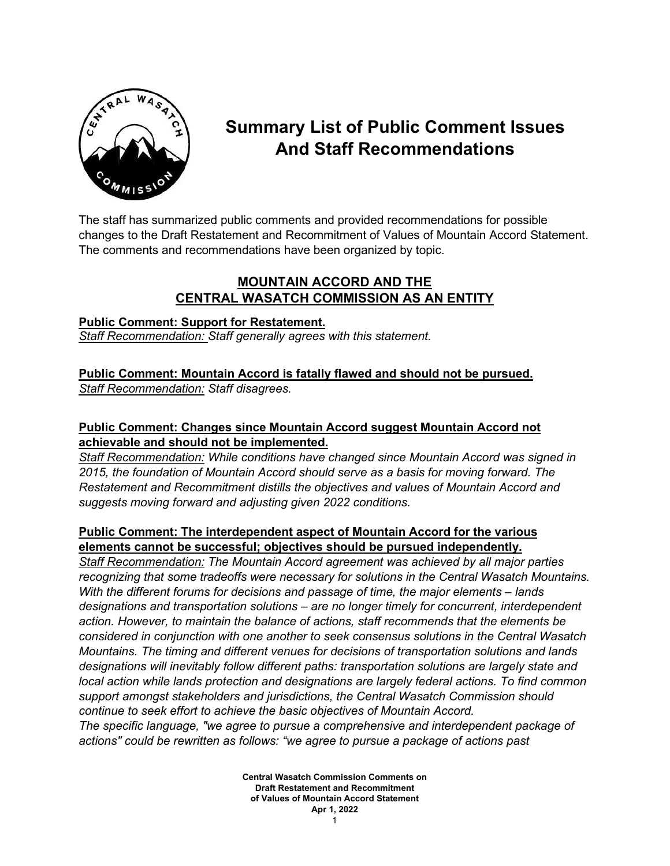

# **Summary List of Public Comment Issues And Staff Recommendations**

The staff has summarized public comments and provided recommendations for possible changes to the Draft Restatement and Recommitment of Values of Mountain Accord Statement. The comments and recommendations have been organized by topic.

# **MOUNTAIN ACCORD AND THE CENTRAL WASATCH COMMISSION AS AN ENTITY**

#### **Public Comment: Support for Restatement.**

*Staff Recommendation: Staff generally agrees with this statement.*

#### **Public Comment: Mountain Accord is fatally flawed and should not be pursued.** *Staff Recommendation: Staff disagrees.*

# **Public Comment: Changes since Mountain Accord suggest Mountain Accord not achievable and should not be implemented.**

*Staff Recommendation: While conditions have changed since Mountain Accord was signed in 2015, the foundation of Mountain Accord should serve as a basis for moving forward. The Restatement and Recommitment distills the objectives and values of Mountain Accord and suggests moving forward and adjusting given 2022 conditions.*

#### **Public Comment: The interdependent aspect of Mountain Accord for the various elements cannot be successful; objectives should be pursued independently.**

*Staff Recommendation: The Mountain Accord agreement was achieved by all major parties recognizing that some tradeoffs were necessary for solutions in the Central Wasatch Mountains. With the different forums for decisions and passage of time, the major elements – lands designations and transportation solutions – are no longer timely for concurrent, interdependent action. However, to maintain the balance of actions, staff recommends that the elements be considered in conjunction with one another to seek consensus solutions in the Central Wasatch Mountains. The timing and different venues for decisions of transportation solutions and lands designations will inevitably follow different paths: transportation solutions are largely state and local action while lands protection and designations are largely federal actions. To find common support amongst stakeholders and jurisdictions, the Central Wasatch Commission should continue to seek effort to achieve the basic objectives of Mountain Accord. The specific language, "we agree to pursue a comprehensive and interdependent package of actions" could be rewritten as follows: "we agree to pursue a package of actions past* 

> **Central Wasatch Commission Comments on Draft Restatement and Recommitment of Values of Mountain Accord Statement Apr 1, 2022**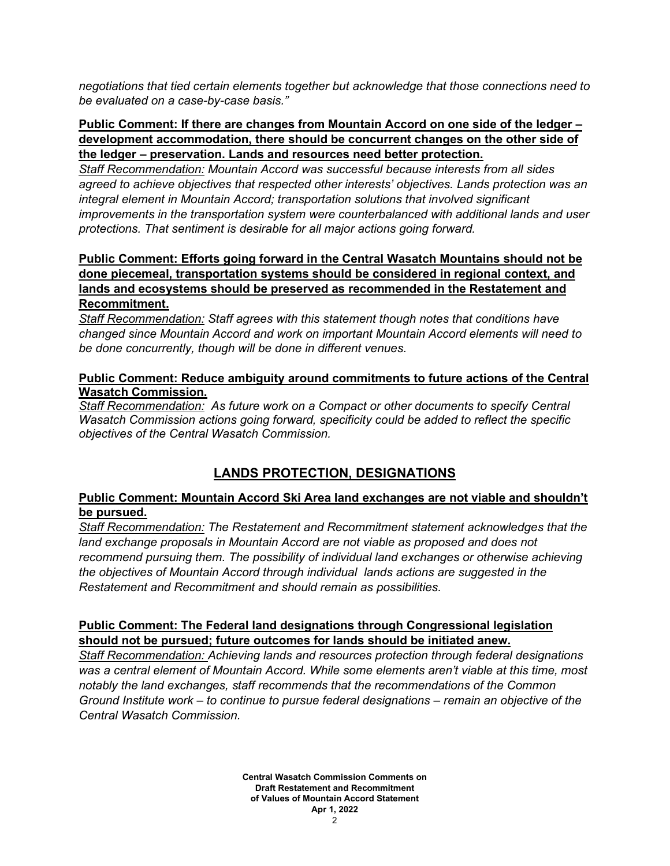*negotiations that tied certain elements together but acknowledge that those connections need to be evaluated on a case-by-case basis."*

#### **Public Comment: If there are changes from Mountain Accord on one side of the ledger – development accommodation, there should be concurrent changes on the other side of the ledger – preservation. Lands and resources need better protection.**

*Staff Recommendation: Mountain Accord was successful because interests from all sides agreed to achieve objectives that respected other interests' objectives. Lands protection was an integral element in Mountain Accord; transportation solutions that involved significant improvements in the transportation system were counterbalanced with additional lands and user protections. That sentiment is desirable for all major actions going forward.*

#### **Public Comment: Efforts going forward in the Central Wasatch Mountains should not be done piecemeal, transportation systems should be considered in regional context, and lands and ecosystems should be preserved as recommended in the Restatement and Recommitment.**

*Staff Recommendation: Staff agrees with this statement though notes that conditions have changed since Mountain Accord and work on important Mountain Accord elements will need to be done concurrently, though will be done in different venues.*

#### **Public Comment: Reduce ambiguity around commitments to future actions of the Central Wasatch Commission.**

*Staff Recommendation: As future work on a Compact or other documents to specify Central Wasatch Commission actions going forward, specificity could be added to reflect the specific objectives of the Central Wasatch Commission.*

# **LANDS PROTECTION, DESIGNATIONS**

#### **Public Comment: Mountain Accord Ski Area land exchanges are not viable and shouldn't be pursued.**

*Staff Recommendation: The Restatement and Recommitment statement acknowledges that the land exchange proposals in Mountain Accord are not viable as proposed and does not recommend pursuing them. The possibility of individual land exchanges or otherwise achieving the objectives of Mountain Accord through individual lands actions are suggested in the Restatement and Recommitment and should remain as possibilities.*

#### **Public Comment: The Federal land designations through Congressional legislation should not be pursued; future outcomes for lands should be initiated anew.**

*Staff Recommendation: Achieving lands and resources protection through federal designations was a central element of Mountain Accord. While some elements aren't viable at this time, most notably the land exchanges, staff recommends that the recommendations of the Common Ground Institute work – to continue to pursue federal designations – remain an objective of the Central Wasatch Commission.*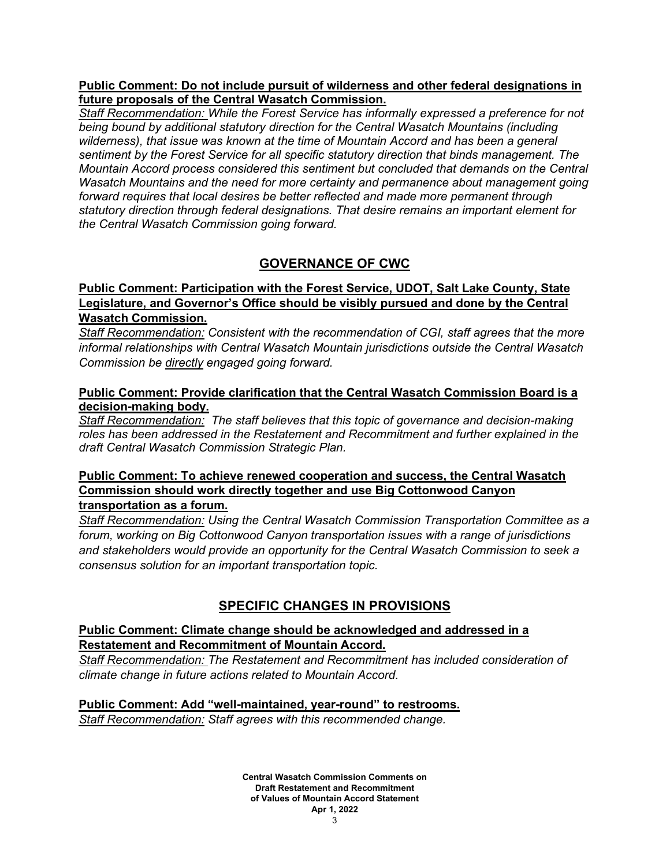#### **Public Comment: Do not include pursuit of wilderness and other federal designations in future proposals of the Central Wasatch Commission.**

*Staff Recommendation: While the Forest Service has informally expressed a preference for not being bound by additional statutory direction for the Central Wasatch Mountains (including wilderness), that issue was known at the time of Mountain Accord and has been a general sentiment by the Forest Service for all specific statutory direction that binds management. The Mountain Accord process considered this sentiment but concluded that demands on the Central Wasatch Mountains and the need for more certainty and permanence about management going forward requires that local desires be better reflected and made more permanent through statutory direction through federal designations. That desire remains an important element for the Central Wasatch Commission going forward.*

# **GOVERNANCE OF CWC**

## **Public Comment: Participation with the Forest Service, UDOT, Salt Lake County, State Legislature, and Governor's Office should be visibly pursued and done by the Central Wasatch Commission.**

*Staff Recommendation: Consistent with the recommendation of CGI, staff agrees that the more informal relationships with Central Wasatch Mountain jurisdictions outside the Central Wasatch Commission be directly engaged going forward.*

#### **Public Comment: Provide clarification that the Central Wasatch Commission Board is a decision-making body.**

*Staff Recommendation: The staff believes that this topic of governance and decision-making roles has been addressed in the Restatement and Recommitment and further explained in the draft Central Wasatch Commission Strategic Plan.*

#### **Public Comment: To achieve renewed cooperation and success, the Central Wasatch Commission should work directly together and use Big Cottonwood Canyon transportation as a forum.**

*Staff Recommendation: Using the Central Wasatch Commission Transportation Committee as a forum, working on Big Cottonwood Canyon transportation issues with a range of jurisdictions and stakeholders would provide an opportunity for the Central Wasatch Commission to seek a consensus solution for an important transportation topic.*

# **SPECIFIC CHANGES IN PROVISIONS**

## **Public Comment: Climate change should be acknowledged and addressed in a Restatement and Recommitment of Mountain Accord.**

*Staff Recommendation: The Restatement and Recommitment has included consideration of climate change in future actions related to Mountain Accord.*

#### **Public Comment: Add "well-maintained, year-round" to restrooms.** *Staff Recommendation: Staff agrees with this recommended change.*

**Central Wasatch Commission Comments on Draft Restatement and Recommitment of Values of Mountain Accord Statement Apr 1, 2022**